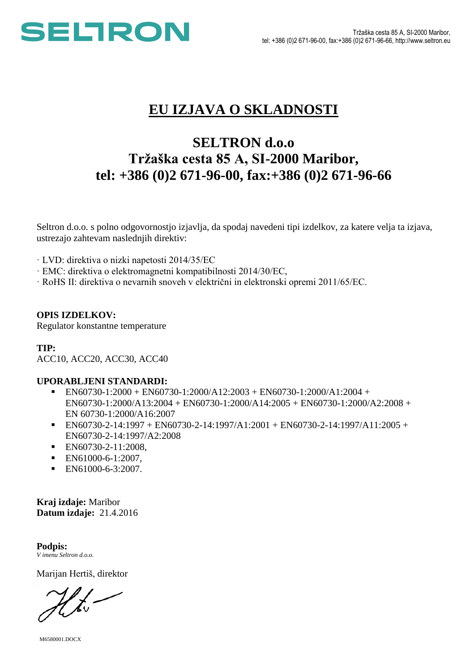

# **EU IZJAVA O SKLADNOSTI**

## **SELTRON d.o.o Tržaška cesta 85 A, SI-2000 Maribor, tel: +386 (0)2 671-96-00, fax:+386 (0)2 671-96-66**

Seltron d.o.o. s polno odgovornostjo izjavlja, da spodaj navedeni tipi izdelkov, za katere velja ta izjava, ustrezajo zahtevam naslednjih direktiv:

· LVD: direktiva o nizki napetosti 2014/35/EC

- · EMC: direktiva o elektromagnetni kompatibilnosti 2014/30/EC,
- · RoHS II: direktiva o nevarnih snoveh v električni in elektronski opremi 2011/65/EC.

### **OPIS IZDELKOV:**

Regulator konstantne temperature

### **TIP:**

ACC10, ACC20, ACC30, ACC40

### **UPORABLJENI STANDARDI:**

- EN60730-1:2000 + EN60730-1:2000/A12:2003 + EN60730-1:2000/A1:2004 + EN60730-1:2000/A13:2004 + EN60730-1:2000/A14:2005 + EN60730-1:2000/A2:2008 + EN 60730-1:2000/A16:2007
- EN60730-2-14:1997 + EN60730-2-14:1997/A1:2001 + EN60730-2-14:1997/A11:2005 + EN60730-2-14:1997/A2:2008
- **EN60730-2-11:2008,**
- EN61000-6-1:2007.
- $\blacksquare$  EN61000-6-3:2007.

**Kraj izdaje:** Maribor **Datum izdaje:** 21.4.2016

**Podpis:** *V imenu Seltron d.o.o.*

Marijan Hertiš, direktor

M6580001.DOCX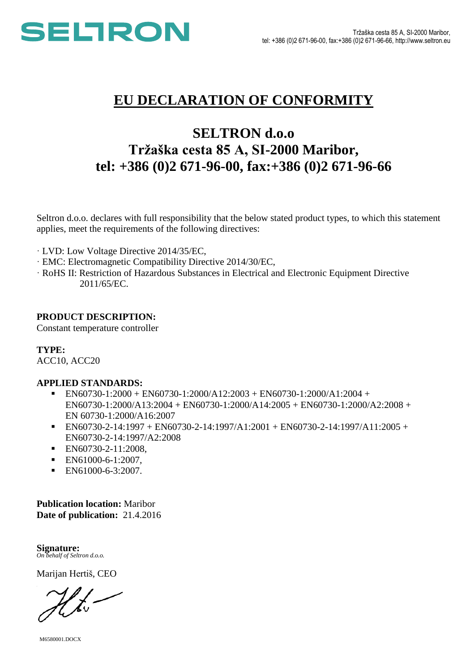

## **EU DECLARATION OF CONFORMITY**

## **SELTRON d.o.o Tržaška cesta 85 A, SI-2000 Maribor, tel: +386 (0)2 671-96-00, fax:+386 (0)2 671-96-66**

Seltron d.o.o. declares with full responsibility that the below stated product types, to which this statement applies, meet the requirements of the following directives:

- · LVD: Low Voltage Directive 2014/35/EC,
- · EMC: Electromagnetic Compatibility Directive 2014/30/EC,
- · RoHS II: Restriction of Hazardous Substances in Electrical and Electronic Equipment Directive 2011/65/EC.

### **PRODUCT DESCRIPTION:**

Constant temperature controller

**TYPE:** ACC10, ACC20

### **APPLIED STANDARDS:**

- $\blacksquare$  EN60730-1:2000 + EN60730-1:2000/A12:2003 + EN60730-1:2000/A1:2004 + EN60730-1:2000/A13:2004 + EN60730-1:2000/A14:2005 + EN60730-1:2000/A2:2008 + EN 60730-1:2000/A16:2007
- $\blacksquare$  EN60730-2-14:1997 + EN60730-2-14:1997/A1:2001 + EN60730-2-14:1997/A11:2005 + EN60730-2-14:1997/A2:2008
- **EN60730-2-11:2008,**
- **EN61000-6-1:2007,**
- $\blacksquare$  EN61000-6-3:2007.

**Publication location:** Maribor **Date of publication:** 21.4.2016

**Signature:** *On behalf of Seltron d.o.o.*

Marijan Hertiš, CEO

M6580001.DOCX